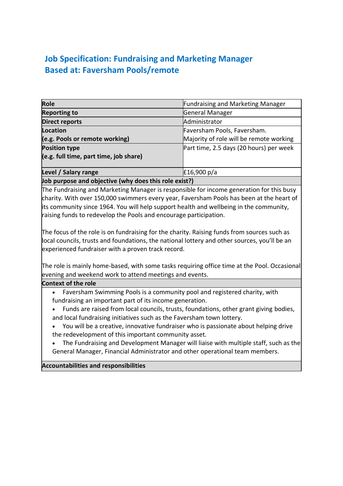# **Job Specification: Fundraising and Marketing Manager Based at: Faversham Pools/remote**

| Role                                                  | Fundraising and Marketing Manager       |
|-------------------------------------------------------|-----------------------------------------|
| <b>Reporting to</b>                                   | General Manager                         |
| <b>Direct reports</b>                                 | Administrator                           |
| <b>Location</b>                                       | Faversham Pools, Faversham.             |
| (e.g. Pools or remote working)                        | Majority of role will be remote working |
| <b>Position type</b>                                  | Part time, 2.5 days (20 hours) per week |
| (e.g. full time, part time, job share)                |                                         |
|                                                       |                                         |
| Level / Salary range                                  | £16,900 $p/a$                           |
| Job purpose and objective (why does this role exist?) |                                         |

The Fundraising and Marketing Manager is responsible for income generation for this busy charity. With over 150,000 swimmers every year, Faversham Pools has been at the heart of its community since 1964. You will help support health and wellbeing in the community, raising funds to redevelop the Pools and encourage participation.

The focus of the role is on fundraising for the charity. Raising funds from sources such as local councils, trusts and foundations, the national lottery and other sources, you'll be an experienced fundraiser with a proven track record.

The role is mainly home-based, with some tasks requiring office time at the Pool. Occasional evening and weekend work to attend meetings and events.

## **Context of the role**

- Faversham Swimming Pools is a community pool and registered charity, with fundraising an important part of its income generation.
- Funds are raised from local councils, trusts, foundations, other grant giving bodies, and local fundraising initiatives such as the Faversham town lottery.
- You will be a creative, innovative fundraiser who is passionate about helping drive the redevelopment of this important community asset.
- The Fundraising and Development Manager will liaise with multiple staff, such as the General Manager, Financial Administrator and other operational team members.

#### **Accountabilities and responsibilities**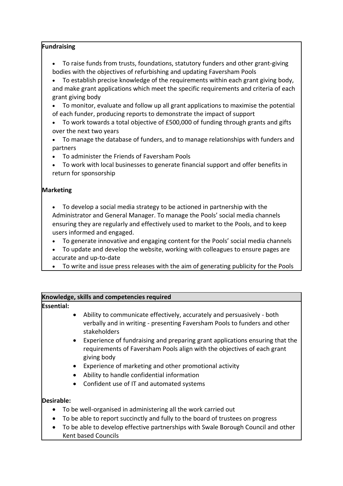#### **Fundraising**

- To raise funds from trusts, foundations, statutory funders and other grant-giving bodies with the objectives of refurbishing and updating Faversham Pools
- To establish precise knowledge of the requirements within each grant giving body, and make grant applications which meet the specific requirements and criteria of each grant giving body
- To monitor, evaluate and follow up all grant applications to maximise the potential of each funder, producing reports to demonstrate the impact of support
- To work towards a total objective of £500,000 of funding through grants and gifts over the next two years
- To manage the database of funders, and to manage relationships with funders and partners
- To administer the Friends of Faversham Pools
- To work with local businesses to generate financial support and offer benefits in return for sponsorship

#### **Marketing**

- To develop a social media strategy to be actioned in partnership with the Administrator and General Manager. To manage the Pools' social media channels ensuring they are regularly and effectively used to market to the Pools, and to keep users informed and engaged.
- To generate innovative and engaging content for the Pools' social media channels
- To update and develop the website, working with colleagues to ensure pages are accurate and up-to-date
- To write and issue press releases with the aim of generating publicity for the Pools

#### **Knowledge, skills and competencies required**

#### **Essential:**

- Ability to communicate effectively, accurately and persuasively both verbally and in writing - presenting Faversham Pools to funders and other stakeholders
- Experience of fundraising and preparing grant applications ensuring that the requirements of Faversham Pools align with the objectives of each grant giving body
- Experience of marketing and other promotional activity
- Ability to handle confidential information
- Confident use of IT and automated systems

#### **Desirable:**

- To be well-organised in administering all the work carried out
- To be able to report succinctly and fully to the board of trustees on progress
- To be able to develop effective partnerships with Swale Borough Council and other Kent based Councils